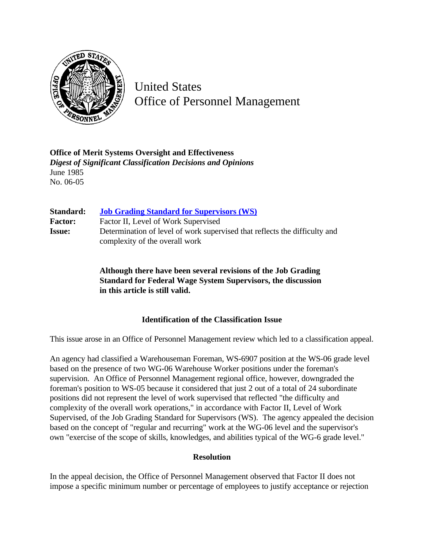

United States Office of Personnel Management

**Office of Merit Systems Oversight and Effectiveness** *Digest of Significant Classification Decisions and Opinions* June 1985 No. 06-05

| Standard:      | <b>Job Grading Standard for Supervisors (WS)</b>                           |
|----------------|----------------------------------------------------------------------------|
| <b>Factor:</b> | Factor II, Level of Work Supervised                                        |
| <b>Issue:</b>  | Determination of level of work supervised that reflects the difficulty and |
|                | complexity of the overall work                                             |

**Although there have been several revisions of the Job Grading Standard for Federal Wage System Supervisors, the discussion in this article is still valid.**

## **Identification of the Classification Issue**

This issue arose in an Office of Personnel Management review which led to a classification appeal.

An agency had classified a Warehouseman Foreman, WS-6907 position at the WS-06 grade level based on the presence of two WG-06 Warehouse Worker positions under the foreman's supervision. An Office of Personnel Management regional office, however, downgraded the foreman's position to WS-05 because it considered that just 2 out of a total of 24 subordinate positions did not represent the level of work supervised that reflected "the difficulty and complexity of the overall work operations," in accordance with Factor II, Level of Work Supervised, of the Job Grading Standard for Supervisors (WS). The agency appealed the decision based on the concept of "regular and recurring" work at the WG-06 level and the supervisor's own "exercise of the scope of skills, knowledges, and abilities typical of the WG-6 grade level."

## **Resolution**

In the appeal decision, the Office of Personnel Management observed that Factor II does not impose a specific minimum number or percentage of employees to justify acceptance or rejection